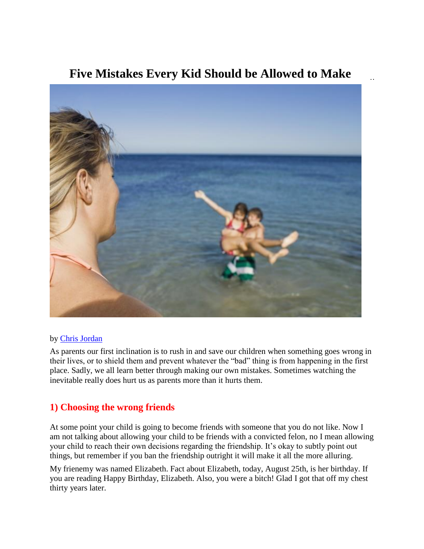# **Five Mistakes Every Kid Should be Allowed to Make**



#### by [Chris Jordan](http://alphamom.com/author/chris/)

As parents our first inclination is to rush in and save our children when something goes wrong in their lives, or to shield them and prevent whatever the "bad" thing is from happening in the first place. Sadly, we all learn better through making our own mistakes. Sometimes watching the inevitable really does hurt us as parents more than it hurts them.

### **1) Choosing the wrong friends**

At some point your child is going to become friends with someone that you do not like. Now I am not talking about allowing your child to be friends with a convicted felon, no I mean allowing your child to reach their own decisions regarding the friendship. It's okay to subtly point out things, but remember if you ban the friendship outright it will make it all the more alluring.

My frienemy was named Elizabeth. Fact about Elizabeth, today, August 25th, is her birthday. If you are reading Happy Birthday, Elizabeth. Also, you were a bitch! Glad I got that off my chest thirty years later.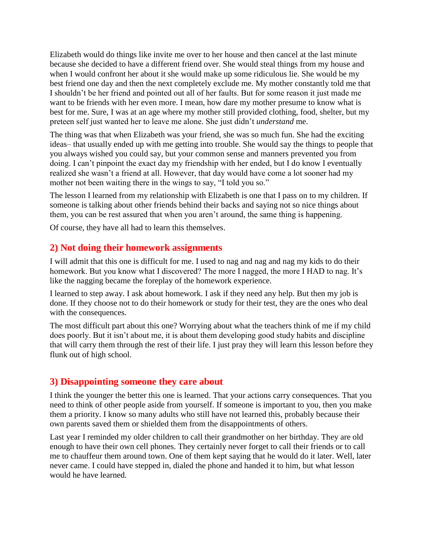Elizabeth would do things like invite me over to her house and then cancel at the last minute because she decided to have a different friend over. She would steal things from my house and when I would confront her about it she would make up some ridiculous lie. She would be my best friend one day and then the next completely exclude me. My mother constantly told me that I shouldn't be her friend and pointed out all of her faults. But for some reason it just made me want to be friends with her even more. I mean, how dare my mother presume to know what is best for me. Sure, I was at an age where my mother still provided clothing, food, shelter, but my preteen self just wanted her to leave me alone. She just didn't *understand* me.

The thing was that when Elizabeth was your friend, she was so much fun. She had the exciting ideas– that usually ended up with me getting into trouble. She would say the things to people that you always wished you could say, but your common sense and manners prevented you from doing. I can't pinpoint the exact day my friendship with her ended, but I do know I eventually realized she wasn't a friend at all. However, that day would have come a lot sooner had my mother not been waiting there in the wings to say, "I told you so."

The lesson I learned from my relationship with Elizabeth is one that I pass on to my children. If someone is talking about other friends behind their backs and saying not so nice things about them, you can be rest assured that when you aren't around, the same thing is happening.

Of course, they have all had to learn this themselves.

#### **2) Not doing their homework assignments**

I will admit that this one is difficult for me. I used to nag and nag and nag my kids to do their homework. But you know what I discovered? The more I nagged, the more I HAD to nag. It's like the nagging became the foreplay of the homework experience.

I learned to step away. I ask about homework. I ask if they need any help. But then my job is done. If they choose not to do their homework or study for their test, they are the ones who deal with the consequences.

The most difficult part about this one? Worrying about what the teachers think of me if my child does poorly. But it isn't about me, it is about them developing good study habits and discipline that will carry them through the rest of their life. I just pray they will learn this lesson before they flunk out of high school.

### **3) Disappointing someone they care about**

I think the younger the better this one is learned. That your actions carry consequences. That you need to think of other people aside from yourself. If someone is important to you, then you make them a priority. I know so many adults who still have not learned this, probably because their own parents saved them or shielded them from the disappointments of others.

Last year I reminded my older children to call their grandmother on her birthday. They are old enough to have their own cell phones. They certainly never forget to call their friends or to call me to chauffeur them around town. One of them kept saying that he would do it later. Well, later never came. I could have stepped in, dialed the phone and handed it to him, but what lesson would he have learned.